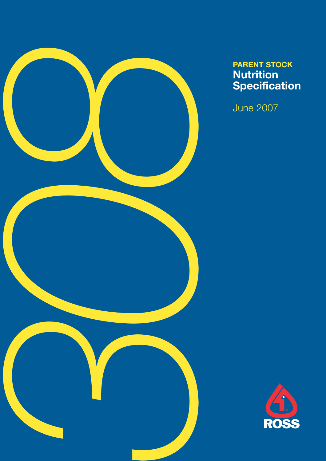

# **Nutrition Specification**

June 2007

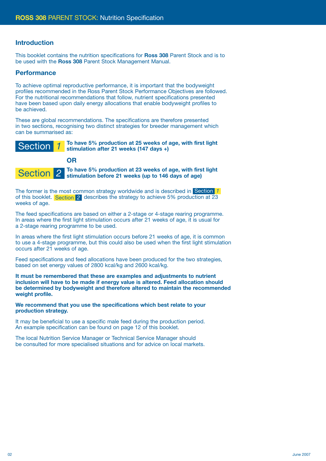#### **Introduction**

This booklet contains the nutrition specifications for **Ross 308** Parent Stock and is to be used with the **Ross 308** Parent Stock Management Manual.

#### **Performance**

To achieve optimal reproductive performance, it is important that the bodyweight profiles recommended in the Ross Parent Stock Performance Objectives are followed. For the nutritional recommendations that follow, nutrient specifications presented have been based upon daily energy allocations that enable bodyweight profiles to be achieved.

These are global recommendations. The specifications are therefore presented in two sections, recognising two distinct strategies for breeder management which can be summarised as:



**OR**



**To have 5% production at 23 weeks of age, with first light stimulation before 21 weeks (up to 146 days of age)**

The former is the most common strategy worldwide and is described in Section *1*of this booklet. Section 2 describes the strategy to achieve 5% production at 23 weeks of age.

The feed specifications are based on either a 2-stage or 4-stage rearing programme. In areas where the first light stimulation occurs after 21 weeks of age, it is usual for a 2-stage rearing programme to be used.

In areas where the first light stimulation occurs before 21 weeks of age, it is common to use a 4-stage programme, but this could also be used when the first light stimulation occurs after 21 weeks of age.

Feed specifications and feed allocations have been produced for the two strategies, based on set energy values of 2800 kcal/kg and 2600 kcal/kg.

**It must be remembered that these are examples and adjustments to nutrient inclusion will have to be made if energy value is altered. Feed allocation should be determined by bodyweight and therefore altered to maintain the recommended weight profile.** 

**We recommend that you use the specifications which best relate to your production strategy.**

It may be beneficial to use a specific male feed during the production period. An example specification can be found on page 12 of this booklet.

The local Nutrition Service Manager or Technical Service Manager should be consulted for more specialised situations and for advice on local markets.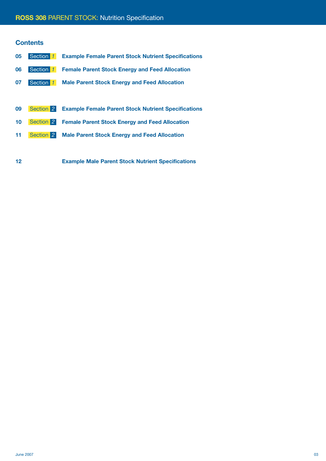## **ROSS 308** PARENT STOCK: Nutrition Specification

#### **Contents**

| 05 | Section 1 | <b>Example Female Parent Stock Nutrient Specifications</b> |
|----|-----------|------------------------------------------------------------|
| 06 | Section 1 | <b>Female Parent Stock Energy and Feed Allocation</b>      |
| 07 | Section 1 | <b>Male Parent Stock Energy and Feed Allocation</b>        |
|    |           |                                                            |
| 09 | Section 2 | <b>Example Female Parent Stock Nutrient Specifications</b> |
| 10 | Section 2 | <b>Female Parent Stock Energy and Feed Allocation</b>      |
|    |           |                                                            |
| 11 | Section 2 | <b>Male Parent Stock Energy and Feed Allocation</b>        |

**12 Example Male Parent Stock Nutrient Specifications**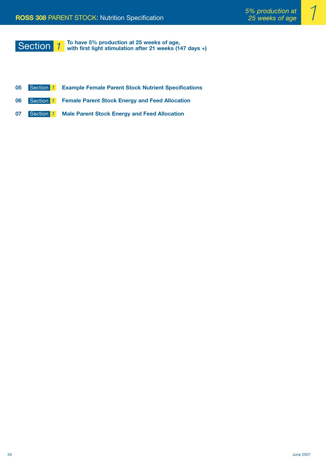# Section *1*

**To have 5% production at 25 weeks of age, with first light stimulation after 21 weeks (147 days +)**

- **05 Example Female Parent Stock Nutrient Specifications** Section *1*
- **06** Section 1 Female Parent Stock Energy and Feed Allocation
- **07** Section 1 Male Parent Stock Energy and Feed Allocation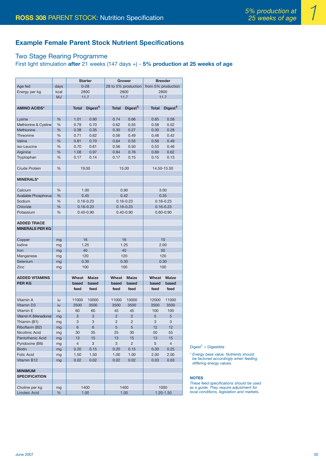## **Example Female Parent Stock Nutrient Specifications**

## Two Stage Rearing Programme

#### First light stimulation **after** 21 weeks (147 days +) - **5% production at 25 weeks of age**

|                             |           | <b>Starter</b> |                     | Grower              |                     | <b>Breeder</b>     |                     |
|-----------------------------|-----------|----------------|---------------------|---------------------|---------------------|--------------------|---------------------|
| Age fed                     | days      |                | $0 - 28$            | 28 to 5% production |                     | from 5% production |                     |
| Energy per kg               | kcal      | 2800           |                     | 2800                |                     | 2800               |                     |
|                             | <b>MJ</b> |                | 11.7                | 11.7                |                     |                    | 11.7                |
|                             |           |                |                     |                     |                     |                    |                     |
| <b>AMINO ACIDS*</b>         |           | <b>Total</b>   | Digest <sup>1</sup> | <b>Total</b>        | Digest <sup>1</sup> | <b>Total</b>       | Digest <sup>1</sup> |
|                             |           |                |                     |                     |                     |                    |                     |
| Lysine                      | %         | 1.01           | 0.90                | 0.74                | 0.66                | 0.65               | 0.58                |
| Methionine & Cystine        | %         | 0.79           | 0.70                | 0.62                | 0.55                | 0.58               | 0.52                |
| Methionine                  | %         | 0.38           | 0.35                | 0.30                | 0.27                | 0.30               | 0.28                |
| Threonine                   | %         | 0.71           | 0.62                | 0.56                | 0.49                | 0.48               | 0.42                |
| Valine                      | %         | 0.81           | 0.70                | 0.64                | 0.55                | 0.56               | 0.49                |
| iso-Leucine                 | %         | 0.70           | 0.61                | 0.56                | 0.50                | 0.53               | 0.46                |
| Arginine                    | %         | 1.08           | 0.97                | 0.84                | 0.76                | 0.69               | 0.62                |
| Tryptophan                  | %         | 0.17           | 0.14                | 0.17                | 0.15                | 0.15               | 0.13                |
|                             |           |                |                     |                     |                     |                    |                     |
| <b>Crude Protein</b>        | %         |                | 19.00               |                     | 15.00               |                    | 14.50-15.50         |
|                             |           |                |                     |                     |                     |                    |                     |
| <b>MINERALS*</b>            |           |                |                     |                     |                     |                    |                     |
|                             |           |                |                     |                     |                     |                    |                     |
| Calcium                     | %         |                | 1.00                |                     | 0.90                |                    | 3.00                |
| <b>Available Phosphorus</b> | %         |                | 0.45                |                     | 0.42                |                    | 0.35                |
| Sodium                      | %         |                | $0.16 - 0.23$       |                     | $0.16 - 0.23$       |                    | $0.16 - 0.23$       |
| Chloride                    | %         |                | $0.16 - 0.23$       | $0.16 - 0.23$       |                     |                    | $0.16 - 0.23$       |
| Potassium                   | %         |                | $0.40 - 0.90$       |                     | $0.40 - 0.90$       |                    | $0.60 - 0.90$       |
|                             |           |                |                     |                     |                     |                    |                     |
| <b>ADDED TRACE</b>          |           |                |                     |                     |                     |                    |                     |
| <b>MINERALS PER KG</b>      |           |                |                     |                     |                     |                    |                     |
|                             |           |                | 16                  |                     | 16                  |                    | 10                  |
| Copper<br>lodine            | mg        |                | 1.25                | 1.25                |                     |                    | 2.00                |
| Iron                        | mg<br>mg  |                | 40                  |                     | 40                  |                    | 50                  |
| Manganese                   | mg        |                | 120                 |                     | 120                 |                    | 120                 |
| Selenium                    | mg        |                | 0.30                | 0.30                |                     |                    | 0.30                |
| Zinc                        | mg        |                | 100                 | 100                 |                     |                    | 100                 |
|                             |           |                |                     |                     |                     |                    |                     |
| <b>ADDED VITAMINS</b>       |           | Wheat          | <b>Maize</b>        | Wheat               | <b>Maize</b>        | Wheat              | <b>Maize</b>        |
| <b>PERKG</b>                |           | based          | based               | based               | based               | based              | based               |
|                             |           | feed           | feed                | feed                | feed                | feed               | feed                |
|                             |           |                |                     |                     |                     |                    |                     |
| Vitamin A                   | iu        | 11000          | 10000               | 11000               | 10000               | 12000              | 11000               |
| Vitamin D <sub>3</sub>      | iu        | 3500           | 3500                | 3500                | 3500                | 3500               | 3500                |
| Vitamin E                   | iu        | 60             | 60                  | 45                  | 45                  | 100                | 100                 |
| Vitamin K (Menadione)       | mg        | 3              | 3                   | $\overline{2}$      | $\overline{2}$      | 5                  | 5                   |
| Thiamin (B1)                | mg        | 3              | 3                   | $\overline{2}$      | $\overline{2}$      | 3                  | 3                   |
| Riboflavin (B2)             | mg        | 6              | 6                   | 5                   | 5                   | 12                 | 12                  |
| Nicotinic Acid              | mg        | 30             | 35                  | 25                  | 30                  | 50                 | 55                  |
| Pantothenic Acid            | mg        | 13             | 15                  | 13                  | 15                  | 13                 | 15                  |
| Pyridoxine (B6)             | mg        | 4              | 3                   | 3                   | $\overline{2}$      | 5                  | $\overline{4}$      |
| <b>Biotin</b>               | mg        | 0.20           | 0.15                | 0.20                | 0.15                | 0.30               | 0.25                |
| <b>Folic Acid</b>           | mg        | 1.50           | 1.50                | 1.00                | 1.00                | 2.00               | 2.00                |
| Vitamin B12                 | mg        | 0.02           | 0.02                | 0.02                | 0.02                | 0.03               | 0.03                |
|                             |           |                |                     |                     |                     |                    |                     |
| <b>MINIMUM</b>              |           |                |                     |                     |                     |                    |                     |
| <b>SPECIFICATION</b>        |           |                |                     |                     |                     |                    |                     |
|                             |           |                |                     |                     |                     |                    |                     |
| Choline per kg              | mg        |                | 1400                |                     | 1400                |                    | 1000                |
| Linoleic Acid               | %         |                | 1.00                |                     | 1.00                |                    | $1.20 - 1.50$       |

 $Digest<sup>1</sup> = Digestible$ 

*\* Energy base value. Nutrients should be factored accordingly when feeding differing energy values.*

#### **NOTES**

*These feed specifications should be used as a guide. They require adjustment for local conditions, legislation and markets.*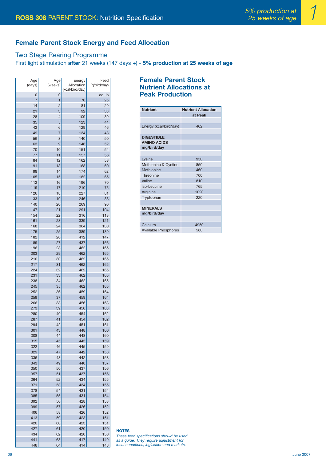## **Female Parent Stock Energy and Feed Allocation**

#### Two Stage Rearing Programme

First light stimulation **after** 21 weeks (147 days +) - **5% production at 25 weeks of age**

| Age<br>(days)  | Age<br>(weeks) | Energy<br>Allocation<br>(kcal/bird/day) | Feed<br>(g/bird/day) |
|----------------|----------------|-----------------------------------------|----------------------|
| 0              | 0              |                                         | ad lib               |
| $\overline{7}$ | 1              | 70                                      | 25                   |
| 14             | $\overline{2}$ | 81                                      | 29                   |
| 21             | 3              | 92                                      | 33                   |
| 28             | $\overline{4}$ | 109                                     | 39                   |
| 35             | 5              | 123                                     | 44                   |
| 42             | 6              | 129                                     | 46                   |
| 49             | 7              | 134                                     | 48                   |
| 56             | 8              | 140                                     | 50                   |
| 63             | 9              | 146                                     | 52                   |
| 70             | 10             | 151                                     | 54                   |
| 77             | 11             | 157                                     | 56                   |
| 84<br>91       | 12<br>13       | 162                                     | 58<br>60             |
| 98             | 14             | 168<br>174                              | 62                   |
| 105            | 15             | 182                                     | 65                   |
| 112            | 16             | 196                                     | 70                   |
| 119            | 17             | 210                                     | 75                   |
| 126            | 18             | 227                                     | 81                   |
| 133            | 19             | 246                                     | 88                   |
| 140            | 20             | 269                                     | 96                   |
| 147            | 21             | 291                                     | 104                  |
| 154            | 22             | 316                                     | 113                  |
| 161            | 23             | 339                                     | 121                  |
| 168            | 24             | 364                                     | 130                  |
| 175            | 25             | 389                                     | 139                  |
| 182            | 26             | 412                                     | 147                  |
| 189            | 27             | 437                                     | 156                  |
| 196            | 28             | 462                                     | 165                  |
| 203            | 29             | 462                                     | 165                  |
| 210            | 30             | 462                                     | 165                  |
| 217            | 31             | 462                                     | 165                  |
| 224            | 32             | 462                                     | 165                  |
| 231            | 33             | 462                                     | 165                  |
| 238            | 34             | 462                                     | 165                  |
| 245            | 35             | 462                                     | 165                  |
| 252            | 36             | 459                                     | 164                  |
| 259            | 37             | 459                                     | 164                  |
| 266            | 38             | 456                                     | 163                  |
| 273            | 39             | 456                                     | 163                  |
| 280            | 40             | 454                                     | 162                  |
| 287            | 41             | 454                                     | 162                  |
| 294            | 42             | 451                                     | 161                  |
| 301            | 43             | 448                                     | 160                  |
| 308            | 44             | 448                                     | 160                  |
| 315            | 45             | 445                                     | 159                  |
| 322<br>329     | 46<br>47       | 445<br>442                              | 159                  |
| 336            | 48             | 442                                     | 158<br>158           |
| 343            | 49             | 440                                     | 157                  |
| 350            | 50             | 437                                     | 156                  |
| 357            | 51             | 437                                     | 156                  |
| 364            | 52             | 434                                     | 155                  |
| 371            | 53             | 434                                     | 155                  |
| 378            | 54             | 431                                     | 154                  |
| 385            | 55             | 431                                     | 154                  |
| 392            | 56             | 428                                     | 153                  |
| 399            | 57             | 426                                     | 152                  |
| 406            | 58             | 426                                     | 152                  |
| 413            | 59             | 423                                     | 151                  |
| 420            | 60             | 423                                     | 151                  |
| 427            | 61             | 420                                     | 150                  |
| 434            | 62             | 420                                     | 150                  |
| 441            | 63             | 417                                     | 149                  |

448 64 414 148

#### **Female Parent Stock Nutrient Allocations at Peak Production**

| <b>Nutrient</b>        | <b>Nutrient Allocation</b> |
|------------------------|----------------------------|
|                        | at Peak                    |
|                        |                            |
| Energy (kcal/bird/day) | 462                        |
|                        |                            |
| <b>DIGESTIBLE</b>      |                            |
| <b>AMINO ACIDS</b>     |                            |
| mg/bird/day            |                            |
|                        |                            |
| Lysine                 | 950                        |
| Methionine & Cystine   | 850                        |
| Methionine             | 460                        |
| Threonine              | 700                        |
| Valine                 | 810                        |
| iso-Leucine            | 765                        |
| Arginine               | 1020                       |
| Tryptophan             | 220                        |
|                        |                            |
| <b>MINERALS</b>        |                            |
| mg/bird/day            |                            |
|                        |                            |
| Calcium                | 4950                       |
| Available Phosphorus   | 580                        |

**NOTES**

*These feed specifications should be used as a guide. They require adjustment for local conditions, legislation and markets.*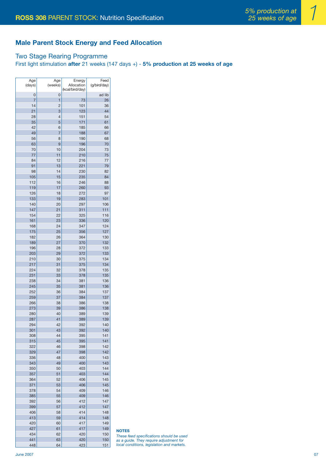#### **Male Parent Stock Energy and Feed Allocation**

#### Two Stage Rearing Programme

First light stimulation **after** 21 weeks (147 days +) - **5% production at 25 weeks of age**

| Age    | Age            | Energy          | Feed         |
|--------|----------------|-----------------|--------------|
| (days) | (weeks)        | Allocation      | (g/bird/day) |
|        |                | (kcal/bird/day) |              |
| 0      | 0              |                 | ad lib       |
| 7      | 1              | 73              | 26           |
| 14     | 2              | 101             | 36           |
| 21     | 3              | 123             | 44           |
| 28     | 4              | 151             | 54           |
| 35     | 5              | 171             | 61           |
| 42     | 6              | 185             | 66           |
| 49     | $\overline{7}$ | 188             | 67           |
| 56     | 8              | 190             | 68           |
| 63     | 9              | 196             | 70           |
| 70     | 10             | 204             | 73           |
| 77     | 11             | 210             | 75           |
| 84     | 12             | 216             | 77           |
| 91     | 13             | 221             | 79           |
| 98     | 14             | 230             | 82           |
| 105    | 15             | 235             | 84           |
| 112    | 16             | 246             | 88           |
| 119    | 17             | 260             | 93           |
| 126    |                |                 |              |
|        | 18             | 272             | 97           |
| 133    | 19             | 283             | 101          |
| 140    | 20             | 297             | 106          |
| 147    | 21             | 311             | 111          |
| 154    | 22             | 325             | 116          |
| 161    | 23             | 336             | 120          |
| 168    | 24             | 347             | 124          |
| 175    | 25             | 356             | 127          |
| 182    | 26             | 364             | 130          |
| 189    | 27             | 370             | 132          |
| 196    | 28             | 372             | 133          |
| 203    | 29             | 372             | 133          |
| 210    | 30             | 375             | 134          |
| 217    | 31             | 375             | 134          |
| 224    | 32             | 378             | 135          |
| 231    | 33             | 378             | 135          |
| 238    | 34             | 381             | 136          |
| 245    | 35             | 381             | 136          |
| 252    | 36             | 384             | 137          |
| 259    | 37             | 384             | 137          |
| 266    | 38             | 386             | 138          |
| 273    | 39             | 386             | 138          |
| 280    | 40             | 389             | 139          |
| 287    | 41             | 389             | 139          |
| 294    | 42             | 392             | 140          |
| 301    |                |                 |              |
| 308    | 43<br>44       | 392<br>395      | 140<br>141   |
| 315    |                | 395             | 141          |
|        | 45             |                 |              |
| 322    | 46             | 398             | 142          |
| 329    | 47             | 398             | 142          |
| 336    | 48             | 400             | 143          |
| 343    | 49             | 400             | 143          |
| 350    | 50             | 403             | 144          |
| 357    | 51             | 403             | 144          |
| 364    | 52             | 406             | 145          |
| 371    | 53             | 406             | 145          |
| 378    | 54             | 409             | 146          |
| 385    | 55             | 409             | 146          |
| 392    | 56             | 412             | 147          |
| 399    | 57             | 412             | 147          |
| 406    | 58             | 414             | 148          |
| 413    | 59             | 414             | 148          |
| 420    | 60             | 417             | 149          |
| 427    | 61             | 417             | 149          |
| 434    | 62             | 420             | 150          |
| 441    | 63             | 420             | 150          |

448 64 423 151

**NOTES**

*These feed specifications should be used as a guide. They require adjustment for local conditions, legislation and markets.*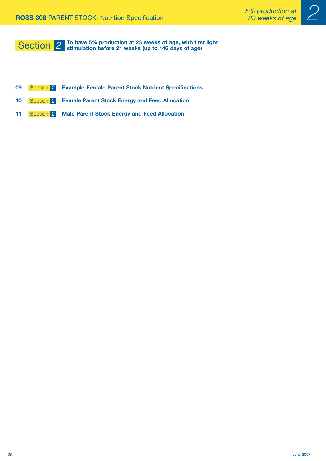

#### **To have 5% production at 23 weeks of age, with first light Section** 2 **or all is the 42** of the strimulation before 21 weeks (up to 146 days of age)

- **09 Example Female Parent Stock Nutrient Specifications** Section *2*
- 10 **Section 2** Female Parent Stock Energy and Feed Allocation
- 11 **Section 2** Male Parent Stock Energy and Feed Allocation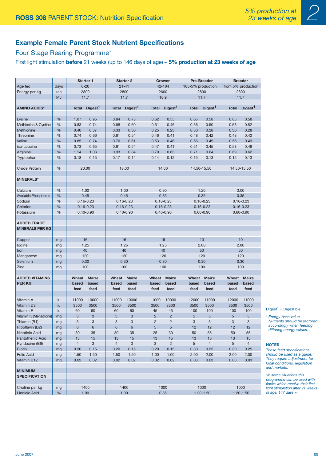

## **Example Female Parent Stock Nutrient Specifications**

#### Four Stage Rearing Programme\*

First light stimulation **before** 21 weeks (up to 146 days of age) – **5% production at 23 weeks of age**

|                             |           |                | Starter 1           | <b>Starter 2</b><br>Grower |                     | <b>Pre-Breeder</b>        |                     | <b>Breeder</b>    |                     |                                |                     |
|-----------------------------|-----------|----------------|---------------------|----------------------------|---------------------|---------------------------|---------------------|-------------------|---------------------|--------------------------------|---------------------|
| Age fed                     | days      |                | $0 - 20$            |                            | $21 - 41$           |                           | 42-104              | 105-5% production |                     | from 5% production             |                     |
| Energy per kg               | kcal      |                | 2800                |                            | 2800                |                           | 2600                | 2800              |                     | 2800                           |                     |
|                             | <b>MJ</b> |                | 11.7                |                            | 11.7                | 10.9                      |                     |                   | 11.7                |                                | 11.7                |
|                             |           |                |                     |                            |                     |                           |                     |                   |                     |                                |                     |
| <b>AMINO ACIDS*</b>         |           | <b>Total</b>   | Digest <sup>1</sup> | <b>Total</b>               | Digest <sup>1</sup> | <b>Total</b>              | Digest <sup>1</sup> | <b>Total</b>      | Digest <sup>1</sup> | <b>Total</b>                   | Digest <sup>1</sup> |
| Lysine                      | %         | 1.07           | 0.95                | 0.84                       | 0.75                | 0.62                      | 0.55                | 0.65              | 0.58                | 0.65                           | 0.58                |
| Methionine & Cystine        | %         | 0.83           | 0.74                | 0.68                       | 0.60                | 0.51                      | 0.46                | 0.56              | 0.50                | 0.58                           | 0.52                |
| Methionine                  | %         | 0.40           | 0.37                | 0.33                       | 0.30                | 0.25                      | 0.23                | 0.30              | 0.28                | 0.30                           | 0.28                |
| Threonine                   | $\%$      | 0.74           | 0.66                | 0.61                       | 0.54                | 0.46                      | 0.41                | 0.48              | 0.42                | 0.48                           | 0.42                |
| Valine                      | %         | 0.85           | 0.74                | 0.70                       | 0.61                | 0.53                      | 0.46                | 0.56              | 0.49                | 0.56                           | 0.49                |
| iso-Leucine                 | %         | 0.73           | 0.65                | 0.61                       | 0.54                | 0.47                      | 0.41                | 0.51              | 0.45                | 0.53                           | 0.46                |
| Arginine                    | %         | 1.14           | 1.03                | 0.93                       | 0.84                | 0.70                      | 0.63                | 0.71              | 0.64                | 0.69                           | 0.62                |
| Tryptophan                  | %         | 0.18           | 0.15                | 0.17                       | 0.14                | 0.14                      | 0.12                | 0.15              | 0.13                | 0.15                           | 0.13                |
|                             |           |                |                     |                            |                     |                           |                     |                   |                     |                                |                     |
| <b>Crude Protein</b>        | %         |                | 20.00               |                            | 18.00               |                           | 14.00               | 14.50-15.50       |                     |                                | 14.50-15.50         |
| <b>MINERALS*</b>            |           |                |                     |                            |                     |                           |                     |                   |                     |                                |                     |
| Calcium                     | %         |                | 1.00                |                            | 1.00                |                           | 0.90                |                   | 1.20                |                                | 3.00                |
| <b>Available Phosphorus</b> | %         |                | 0.45                |                            | 0.45                |                           | 0.35                |                   | 0.35                |                                | 0.35                |
| Sodium                      | $\%$      |                | $0.16 - 0.23$       |                            | $0.16 - 0.23$       |                           | $0.16 - 0.23$       |                   | $0.16 - 0.23$       |                                |                     |
| Chloride                    | %         |                | $0.16 - 0.23$       |                            | $0.16 - 0.23$       |                           | $0.16 - 0.23$       |                   | $0.16 - 0.23$       | $0.16 - 0.23$<br>$0.16 - 0.23$ |                     |
| Potassium                   | %         |                | $0.40 - 0.90$       |                            | $0.40 - 0.90$       |                           | $0.40 - 0.90$       |                   | $0.60 - 0.90$       |                                | $0.60 - 0.90$       |
|                             |           |                |                     |                            |                     |                           |                     |                   |                     |                                |                     |
| <b>ADDED TRACE</b>          |           |                |                     |                            |                     |                           |                     |                   |                     |                                |                     |
| <b>MINERALS PER KG</b>      |           |                |                     |                            |                     |                           |                     |                   |                     |                                |                     |
| Copper                      | mg        |                | 16                  |                            | 16                  |                           | 16                  |                   | 10                  |                                | 10                  |
| lodine                      | mg        |                | 1.25                |                            | 1.25                | 1.25                      |                     | 2.00              |                     | 2.00                           |                     |
| Iron                        | mg        |                | 40                  |                            | 40                  |                           | 40                  | 50                |                     |                                | 50                  |
| Manganese                   | mg        |                | 120                 |                            | 120                 |                           | 120                 |                   | 120                 |                                | 120                 |
| Selenium                    | mg        |                | 0.30                |                            | 0.30                |                           | 0.30                |                   | 0.30                |                                | 0.30                |
| Zinc                        | mg        |                | 100                 |                            | 100                 |                           | 100                 | 100               |                     | 100                            |                     |
| <b>ADDED VITAMINS</b>       |           | Wheat          | <b>Maize</b>        | Wheat                      | <b>Maize</b>        | Wheat                     | <b>Maize</b>        | Wheat             | Maize               | Wheat                          | <b>Maize</b>        |
| <b>PERKG</b>                |           | based          | based               | based                      | based               | based                     | based               | based             | based               | based                          | based               |
|                             |           | feed           | feed                | feed                       | feed                | feed                      | feed                | feed              | feed                | feed                           | feed                |
|                             |           |                |                     |                            |                     |                           |                     |                   |                     |                                |                     |
| Vitamin A                   | iu        | 11000          | 10000               | 11000                      | 10000               | 11000                     | 10000               | 12000             | 11000               | 12000                          | 11000               |
| Vitamin D3                  | iu        | 3500           | 3500                | 3500                       | 3500                | 3500                      | 3500                | 3500              | 3500                | 3500                           | 3500                |
| Vitamin E                   | iu        | 60             | 60                  | 60                         | 60                  | 45                        | 45                  | 100               | 100                 | 100                            | 100                 |
| Vitamin K (Menadione)       | mg        | 3              | 3                   | 3                          | 3                   | $\overline{2}$            | $\overline{2}$      | 5                 | 5                   | 5                              | 5                   |
| Thiamin (B1)                | mg        | 3              | 3                   | 3                          | 3                   | $\overline{2}$            | $\overline{c}$      | 3                 | 3                   | 3                              | 3                   |
| Riboflavin (B2)             | mg        | 6              | 6                   | 6                          | $\,6\,$             | $\sqrt{5}$                | $\sqrt{5}$          | 12                | 12                  | 12                             | 12                  |
| Nicotinic Acid              | mg        | 30             | 35                  | 30                         | 35                  | 25                        | 30                  | 50                | 55                  | 50                             | 55                  |
| Pantothenic Acid            | mg        | 13             | 15                  | 13                         | 15                  | 13                        | 15                  | 13                | 15                  | 13                             | 15                  |
| Pyridoxine (B6)             | mg        | $\overline{4}$ | 3                   | $\overline{4}$             | $\sqrt{3}$          | $\ensuremath{\mathsf{3}}$ | $\overline{c}$      | 5                 | $\overline{4}$      | 5                              | $\overline{4}$      |
| <b>Biotin</b>               | mg        | 0.20           | 0.15                | 0.20                       | 0.15                | 0.20                      | 0.15                | 0.30              | 0.25                | 0.30                           | 0.25                |
| Folic Acid                  | mg        | 1.50           | 1.50                | 1.50                       | 1.50                | 1.00                      | 1.00                | 2.00              | 2.00                | 2.00                           | 2.00                |
| Vitamin B12                 | mg        | 0.02           | 0.02                | 0.02                       | 0.02                | 0.02                      | 0.02                | 0.03              | 0.03                | 0.03                           | 0.03                |
| <b>MINIMUM</b>              |           |                |                     |                            |                     |                           |                     |                   |                     |                                |                     |
| <b>SPECIFICATION</b>        |           |                |                     |                            |                     |                           |                     |                   |                     |                                |                     |
|                             |           |                |                     |                            |                     |                           |                     |                   |                     |                                |                     |
| Choline per kg              | mg        |                | 1400                |                            | 1400                |                           | 1000                |                   | 1000                |                                | 1000                |
| Linoleic Acid               | $\%$      |                | 1.00                |                            | 1.00                |                           | 0.85                |                   | $1.20 - 1.50$       |                                | $1.20 - 1.50$       |

 $Diqest<sup>1</sup> = Diqestible$ 

*\* Energy base value. Nutrients should be factored accordingly when feeding differing energy values.*

#### **NOTES**

*These feed specifications should be used as a guide. They require adjustment for local conditions, legislation and markets.* 

*\*In some situations this programme can be used with flocks which receive their first light stimulation after 21 weeks of age, 147 days +.*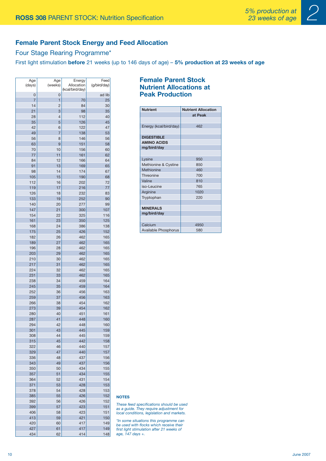

#### **Female Parent Stock Energy and Feed Allocation**

#### Four Stage Rearing Programme\*

First light stimulation **before** 21 weeks (up to 146 days of age) – **5% production at 23 weeks of age**

| Age<br>(days) | Age<br>(weeks) | Energy<br>Allocation | Feed<br>(g/bird/day) |
|---------------|----------------|----------------------|----------------------|
| 0             | 0              | (kcal/bird/day)      | ad lib               |
| 7             | 1              | 70                   | 25                   |
| 14            | 2              | 84                   | 30                   |
| 21            | 3              | 98                   | 35                   |
| 28            | 4              | 112                  | 40                   |
| 35            | 5              | 126                  | 45                   |
| 42            | 6              | 122                  | 47                   |
| 49            | 7              | 138                  | 53                   |
| 56            | 8              | 146                  | 56                   |
| 63            | 9              | 151                  | 58                   |
| 70            | 10             | 156                  | 60                   |
| 77            | 11             | 161                  | 62                   |
| 84            | 12             | 166                  | 64                   |
| 91            | 13             | 169                  | 65                   |
| 98<br>105     | 14<br>15       | 174<br>190           | 67<br>68             |
| 112           | 16             | 202                  | 72                   |
| 119           | 17             | 216                  | 77                   |
| 126           | 18             | 232                  | 83                   |
| 133           | 19             | 252                  | 90                   |
| 140           | 20             | 277                  | 99                   |
| 147           | 21             | 300                  | 107                  |
| 154           | 22             | 325                  | 116                  |
| 161           | 23             | 350                  | 125                  |
| 168           | 24             | 386                  | 138                  |
| 175           | 25             | 426                  | 152                  |
| 182           | 26             | 462                  | 165                  |
| 189           | 27             | 462                  | 165                  |
| 196           | 28             | 462                  | 165                  |
| 203           | 29             | 462                  | 165                  |
| 210           | 30             | 462                  | 165                  |
| 217           | 31             | 462                  | 165                  |
| 224           | 32             | 462                  | 165                  |
| 231<br>238    | 33<br>34       | 462<br>459           | 165<br>164           |
| 245           | 35             | 459                  | 164                  |
| 252           | 36             | 456                  | 163                  |
| 259           | 37             | 456                  | 163                  |
| 266           | 38             | 454                  | 162                  |
| 273           | 39             | 454                  | 162                  |
| 280           | 40             | 451                  | 161                  |
| 287           | 41             | 448                  | 160                  |
| 294           | 42             | 448                  | 160                  |
| 301           | 43             | 445                  | 159                  |
| 308           | 44             | 445                  | 159                  |
| 315           | 45             | 442                  | 158                  |
| 322           | 46             | 440                  | 157                  |
| 329           | 47             | 440                  | 157                  |
| 336<br>343    | 48             | 437<br>437           | 156<br>156           |
| 350           | 49<br>50       | 434                  | 155                  |
| 357           | 51             | 434                  | 155                  |
| 364           | 52             | 431                  | 154                  |
| 371           | 53             | 428                  | 153                  |
| 378           | 54             | 428                  | 153                  |
| 385           | 55             | 426                  | 152                  |
| 392           | 56             | 426                  | 152                  |
| 399           | 57             | 423                  | 151                  |
| 406           | 58             | 423                  | 151                  |
| 413           | 59             | 421                  | 150                  |
| 420           | 60             | 417                  | 149                  |
| 427           | 61             | 417                  | 149                  |
| 434           | 62             | 414                  | 148                  |

#### **Female Parent Stock Nutrient Allocations at Peak Production**

| <b>Nutrient</b>        | <b>Nutrient Allocation</b> |
|------------------------|----------------------------|
|                        | at Peak                    |
|                        |                            |
| Energy (kcal/bird/day) | 462                        |
|                        |                            |
| <b>DIGESTIBLE</b>      |                            |
| <b>AMINO ACIDS</b>     |                            |
| mg/bird/day            |                            |
|                        |                            |
| Lysine                 | 950                        |
| Methionine & Cystine   | 850                        |
| Methionine             | 460                        |
| Threonine              | 700                        |
| Valine                 | 810                        |
| iso-Leucine            | 765                        |
| Arginine               | 1020                       |
| Tryptophan             | 220                        |
|                        |                            |
| <b>MINERALS</b>        |                            |
| mg/bird/day            |                            |
|                        |                            |
| Calcium                | 4950                       |
| Available Phosphorus   | 580                        |

#### **NOTES**

*These feed specifications should be used as a guide. They require adjustment for local conditions, legislation and markets.*

*\*In some situations this programme can be used with flocks which receive their first light stimulation after 21 weeks of age, 147 days +.*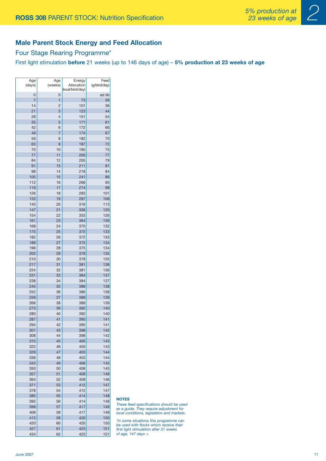

#### **Male Parent Stock Energy and Feed Allocation**

#### Four Stage Rearing Programme\*

First light stimulation **before** 21 weeks (up to 146 days of age) – **5% production at 23 weeks of age**

| Age<br>(days)  | Age<br>(weeks)      | Energy<br>Allocation | Feed<br>(g/bird/day) |
|----------------|---------------------|----------------------|----------------------|
|                |                     | (kcal/bird/day)      |                      |
| 0              | 0                   |                      | ad lib               |
| $\overline{7}$ | 1                   | 73                   | 26                   |
| 14             | 2                   | 101                  | 36                   |
| 21             | 3<br>$\overline{4}$ | 123<br>151           | 44<br>54             |
| 28<br>35       | 5                   | 171                  | 61                   |
| 42             | 6                   | 172                  | 66                   |
| 49             | 7                   | 174                  | 67                   |
| 56             | 8                   | 182                  | 70                   |
| 63             | 9                   | 187                  | 72                   |
| 70             | 10                  | 195                  | 75                   |
| 77             | 11                  | 200                  | 77                   |
| 84             | 12                  | 205                  | 79                   |
| 91             | 13                  | 211                  | 81                   |
| 98             | 14                  | 218                  | 84                   |
| 105            | 15                  | 241                  | 86                   |
| 112            | 16                  | 266                  | 95                   |
| 119            | 17                  | 274                  | 98                   |
| 126            | 18                  | 283                  | 101                  |
| 133            | 19                  | 297                  | 106                  |
| 140<br>147     | 20<br>21            | 316<br>336           | 113<br>120           |
| 154            | 22                  | 353                  | 126                  |
| 161            | 23                  | 364                  | 130                  |
| 168            | 24                  | 370                  | 132                  |
| 175            | 25                  | 372                  | 133                  |
| 182            | 26                  | 372                  | 133                  |
| 189            | 27                  | 375                  | 134                  |
| 196            | 28                  | 375                  | 134                  |
| 203            | 29                  | 378                  | 135                  |
| 210            | 30                  | 378                  | 135                  |
| 217            | 31                  | 381                  | 136                  |
| 224            | 32                  | 381                  | 136                  |
| 231            | 33                  | 384                  | 137                  |
| 238            | 34                  | 384                  | 137                  |
| 245            | 35                  | 386                  | 138                  |
| 252<br>259     | 36<br>37            | 386<br>389           | 138<br>139           |
| 266            | 38                  | 389                  | 139                  |
| 273            | 39                  | 392                  | 140                  |
| 280            | 40                  | 392                  | 140                  |
| 287            | 41                  | 395                  | 141                  |
| 294            | 42                  | 395                  | 141                  |
| 301            | 43                  | 398                  | 142                  |
| 308            | 44                  | 398                  | 142                  |
| 315            | 45                  | 400                  | 143                  |
| 322            | 46                  | 400                  | 143                  |
| 329            | 47                  | 403                  | 144                  |
| 336            | 48                  | 403                  | 144                  |
| 343            | 49                  | 406<br>406           | 145                  |
| 350<br>357     | 50<br>51            | 409                  | 145<br>146           |
| 364            | 52                  | 409                  | 146                  |
| 371            | 53                  | 412                  | 147                  |
| 378            | 54                  | 412                  | 147                  |
| 385            | 55                  | 414                  | 148                  |
| 392            | 56                  | 414                  | 148                  |
| 399            | 57                  | 417                  | 149                  |
| 406            | 58                  | 417                  | 149                  |
| 413            | 59                  | 420                  | 150                  |
| 420            | 60                  | 420                  | 150                  |
| 427            | 61                  | 423                  | 151                  |
| 434            | 62                  | 423                  | 151                  |

#### **NOTES**

*These feed specifications should be used as a guide. They require adjustment for local conditions, legislation and markets.*

*\*In some situations this programme can be used with flocks which receive their first light stimulation after 21 weeks of age, 147 days +.*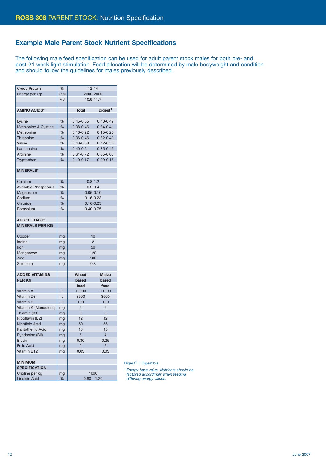#### **Example Male Parent Stock Nutrient Specifications**

The following male feed specification can be used for adult parent stock males for both pre- and post-21 week light stimulation. Feed allocation will be determined by male bodyweight and condition and should follow the guidelines for males previously described.

| <b>Crude Protein</b>   | %         | $12 - 14$      |                     |  |
|------------------------|-----------|----------------|---------------------|--|
| Energy per kg:         | kcal      | 2600-2800      |                     |  |
|                        | <b>MJ</b> | 10.9-11.7      |                     |  |
|                        |           |                |                     |  |
| <b>AMINO ACIDS*</b>    |           | <b>Total</b>   | Digest <sup>1</sup> |  |
|                        |           |                |                     |  |
| Lysine                 | %         | $0.45 - 0.55$  | $0.40 - 0.49$       |  |
| Methionine & Cystine   | %         | $0.38 - 0.46$  | $0.34 - 0.41$       |  |
| Methionine             | %         | $0.16 - 0.22$  | $0.15 - 0.20$       |  |
| Threonine              | %         | $0.36 - 0.46$  | $0.32 - 0.40$       |  |
| Valine                 | %         | $0.48 - 0.58$  | $0.42 - 0.50$       |  |
| iso-Leucine            | %         | $0.40 - 0.51$  | $0.35 - 0.45$       |  |
| Arginine               | %         | $0.61 - 0.72$  | $0.55 - 0.65$       |  |
| Tryptophan             | %         | $0.10 - 0.17$  | $0.09 - 0.15$       |  |
|                        |           |                |                     |  |
| <b>MINERALS*</b>       |           |                |                     |  |
|                        |           |                |                     |  |
| Calcium                | %         | $0.8 - 1.2$    |                     |  |
| Available Phosphorus   | %         |                | $0.3 - 0.4$         |  |
| Magnesium              | %         | $0.05 - 0.10$  |                     |  |
| Sodium                 | %         | $0.16 - 0.23$  |                     |  |
| Chloride               | %         | $0.16 - 0.23$  |                     |  |
| Potassium              | %         | $0.40 - 0.75$  |                     |  |
|                        |           |                |                     |  |
| <b>ADDED TRACE</b>     |           |                |                     |  |
| <b>MINERALS PER KG</b> |           |                |                     |  |
|                        |           |                |                     |  |
| Copper                 | mg        | 10             |                     |  |
| lodine                 | mg        | $\overline{2}$ |                     |  |
| Iron                   | mg        | 50             |                     |  |
| Manganese              | mg        |                | 120                 |  |
| Zinc                   | mg        |                | 100                 |  |
| Selenium               | mg        | 0.3            |                     |  |
|                        |           |                |                     |  |
| <b>ADDED VITAMINS</b>  |           | Wheat          | <b>Maize</b>        |  |
| <b>PERKG</b>           |           | based          | based               |  |
|                        |           | feed           | feed                |  |
| Vitamin A              | iu        | 12000          | 11000               |  |
| Vitamin D <sub>3</sub> | iu        | 3500           | 3500                |  |
| Vitamin E              | iu        | 100            | 100                 |  |
| Vitamin K (Menadione)  | mg        | 5              | 5                   |  |
| Thiamin (B1)           | mg        | 3              | 3                   |  |
| Riboflavin (B2)        | mg        | 12             | 12                  |  |
| Nicotinic Acid         | mg        | 50             | 55                  |  |
| Pantothenic Acid       | mg        | 13             | 15                  |  |
| Pyridoxine (B6)        | mg        | 5              | 4                   |  |
| <b>Biotin</b>          | mg        | 0.30           | 0.25                |  |
| <b>Folic Acid</b>      | mg        | $\overline{2}$ | $\overline{2}$      |  |
| Vitamin B12            | mg        | 0.03           | 0.03                |  |
|                        |           |                |                     |  |
| <b>MINIMUM</b>         |           |                |                     |  |
| <b>SPECIFICATION</b>   |           |                |                     |  |
| Choline per kg         | mg        |                | 1000                |  |
| Linoleic Acid          | $\%$      | $0.80 - 1.20$  |                     |  |

 $Digest<sup>1</sup> = Digestible$ 

*\* Energy base value. Nutrients should be factored accordingly when feeding differing energy values.*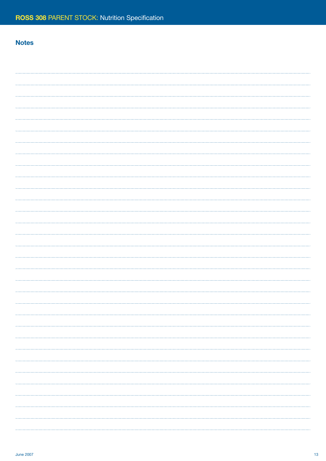## **Notes**

| . |
|---|
|   |
|   |
|   |
|   |
|   |
|   |
|   |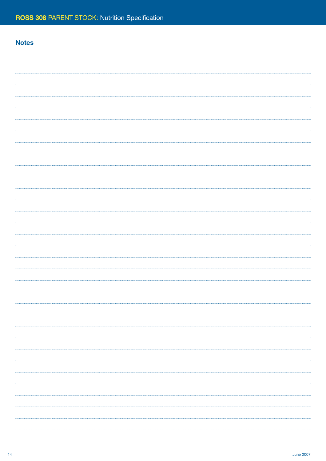## **Notes**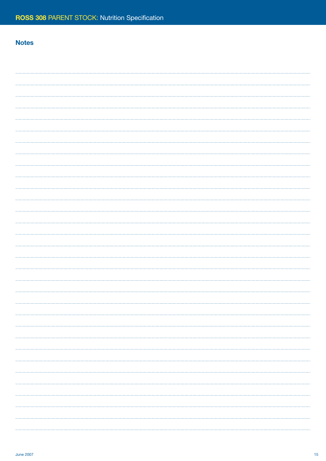## **Notes**

| . |
|---|
|   |
|   |
|   |
|   |
|   |
|   |
|   |
|   |